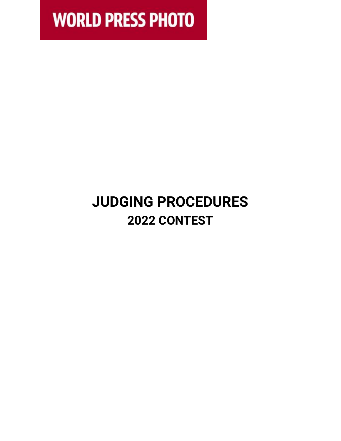**WORLD PRESS PHOTO** 

# **JUDGING PROCEDURES 2022 CONTEST**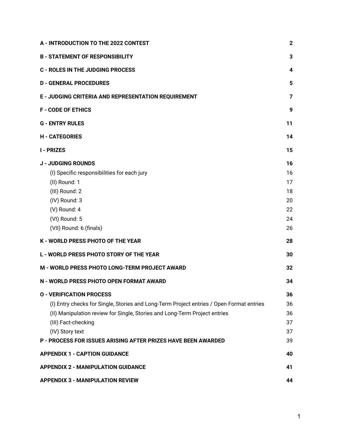| A - INTRODUCTION TO THE 2022 CONTEST                                                                                                                                                                             | $\mathbf 2$             |
|------------------------------------------------------------------------------------------------------------------------------------------------------------------------------------------------------------------|-------------------------|
| <b>B - STATEMENT OF RESPONSIBILITY</b>                                                                                                                                                                           | 3                       |
| <b>C - ROLES IN THE JUDGING PROCESS</b>                                                                                                                                                                          | 4                       |
| <b>D - GENERAL PROCEDURES</b>                                                                                                                                                                                    | 5                       |
| E - JUDGING CRITERIA AND REPRESENTATION REQUIREMENT                                                                                                                                                              | $\overline{\mathbf{z}}$ |
| <b>F - CODE OF ETHICS</b>                                                                                                                                                                                        | 9                       |
| <b>G - ENTRY RULES</b>                                                                                                                                                                                           | 11                      |
| <b>H - CATEGORIES</b>                                                                                                                                                                                            | 14                      |
| <b>I - PRIZES</b>                                                                                                                                                                                                | 15                      |
| <b>J - JUDGING ROUNDS</b><br>(I) Specific responsibilities for each jury<br>(II) Round: 1<br>(III) Round: 2                                                                                                      | 16<br>16<br>17<br>18    |
| (IV) Round: 3<br>(V) Round: 4<br>(VI) Round: 5                                                                                                                                                                   | 20<br>22<br>24          |
| (VII) Round: 6 (finals)                                                                                                                                                                                          | 26                      |
| K - WORLD PRESS PHOTO OF THE YEAR                                                                                                                                                                                | 28                      |
| <b>L - WORLD PRESS PHOTO STORY OF THE YEAR</b>                                                                                                                                                                   | 30                      |
| M - WORLD PRESS PHOTO LONG-TERM PROJECT AWARD                                                                                                                                                                    | 32                      |
| N - WORLD PRESS PHOTO OPEN FORMAT AWARD                                                                                                                                                                          | 34                      |
| <b>O - VERIFICATION PROCESS</b>                                                                                                                                                                                  | 36                      |
| (I) Entry checks for Single, Stories and Long-Term Project entries / Open Format entries<br>(II) Manipulation review for Single, Stories and Long-Term Project entries<br>(III) Fact-checking<br>(IV) Story text | 36<br>36<br>37<br>37    |
| <b>P - PROCESS FOR ISSUES ARISING AFTER PRIZES HAVE BEEN AWARDED</b>                                                                                                                                             | 39                      |
| <b>APPENDIX 1 - CAPTION GUIDANCE</b>                                                                                                                                                                             | 40                      |
| <b>APPENDIX 2 - MANIPULATION GUIDANCE</b>                                                                                                                                                                        | 41                      |
| <b>APPENDIX 3 - MANIPULATION REVIEW</b>                                                                                                                                                                          | 44                      |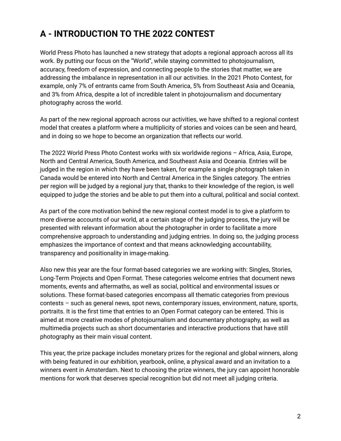# **A - INTRODUCTION TO THE 2022 CONTEST**

World Press Photo has launched a new strategy that adopts a regional approach across all its work. By putting our focus on the "World", while staying committed to photojournalism, accuracy, freedom of expression, and connecting people to the stories that matter, we are addressing the imbalance in representation in all our activities. In the 2021 Photo Contest, for example, only 7% of entrants came from South America, 5% from Southeast Asia and Oceania, and 3% from Africa, despite a lot of incredible talent in photojournalism and documentary photography across the world.

As part of the new regional approach across our activities, we have shifted to a regional contest model that creates a platform where a multiplicity of stories and voices can be seen and heard, and in doing so we hope to become an organization that reflects our world.

The 2022 World Press Photo Contest works with six worldwide regions – Africa, Asia, Europe, North and Central America, South America, and Southeast Asia and Oceania. Entries will be judged in the region in which they have been taken, for example a single photograph taken in Canada would be entered into North and Central America in the Singles category. The entries per region will be judged by a regional jury that, thanks to their knowledge of the region, is well equipped to judge the stories and be able to put them into a cultural, political and social context.

As part of the core motivation behind the new regional contest model is to give a platform to more diverse accounts of our world, at a certain stage of the judging process, the jury will be presented with relevant information about the photographer in order to facilitate a more comprehensive approach to understanding and judging entries. In doing so, the judging process emphasizes the importance of context and that means acknowledging accountability, transparency and positionality in image-making.

Also new this year are the four format-based categories we are working with: Singles, Stories, Long-Term Projects and Open Format. These categories welcome entries that document news moments, events and aftermaths, as well as social, political and environmental issues or solutions. These format-based categories encompass all thematic categories from previous contests – such as general news, spot news, contemporary issues, environment, nature, sports, portraits. It is the first time that entries to an Open Format category can be entered. This is aimed at more creative modes of photojournalism and documentary photography, as well as multimedia projects such as short documentaries and interactive productions that have still photography as their main visual content.

This year, the prize package includes monetary prizes for the regional and global winners, along with being featured in our exhibition, yearbook, online, a physical award and an invitation to a winners event in Amsterdam. Next to choosing the prize winners, the jury can appoint honorable mentions for work that deserves special recognition but did not meet all judging criteria.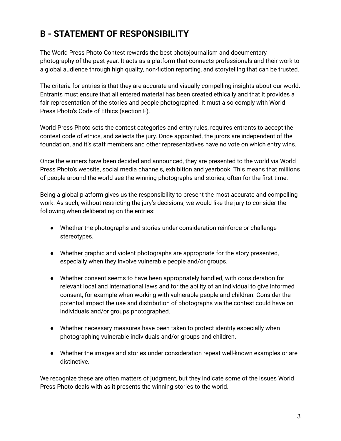# **B - STATEMENT OF RESPONSIBILITY**

The World Press Photo Contest rewards the best photojournalism and documentary photography of the past year. It acts as a platform that connects professionals and their work to a global audience through high quality, non-fiction reporting, and storytelling that can be trusted.

The criteria for entries is that they are accurate and visually compelling insights about our world. Entrants must ensure that all entered material has been created ethically and that it provides a fair representation of the stories and people photographed. It must also comply with World Press Photo's Code of Ethics (section F).

World Press Photo sets the contest categories and entry rules, requires entrants to accept the contest code of ethics, and selects the jury. Once appointed, the jurors are independent of the foundation, and it's staff members and other representatives have no vote on which entry wins.

Once the winners have been decided and announced, they are presented to the world via World Press Photo's website, social media channels, exhibition and yearbook. This means that millions of people around the world see the winning photographs and stories, often for the first time.

Being a global platform gives us the responsibility to present the most accurate and compelling work. As such, without restricting the jury's decisions, we would like the jury to consider the following when deliberating on the entries:

- Whether the photographs and stories under consideration reinforce or challenge stereotypes.
- Whether graphic and violent photographs are appropriate for the story presented, especially when they involve vulnerable people and/or groups.
- Whether consent seems to have been appropriately handled, with consideration for relevant local and international laws and for the ability of an individual to give informed consent, for example when working with vulnerable people and children. Consider the potential impact the use and distribution of photographs via the contest could have on individuals and/or groups photographed.
- Whether necessary measures have been taken to protect identity especially when photographing vulnerable individuals and/or groups and children.
- Whether the images and stories under consideration repeat well-known examples or are distinctive.

We recognize these are often matters of judgment, but they indicate some of the issues World Press Photo deals with as it presents the winning stories to the world.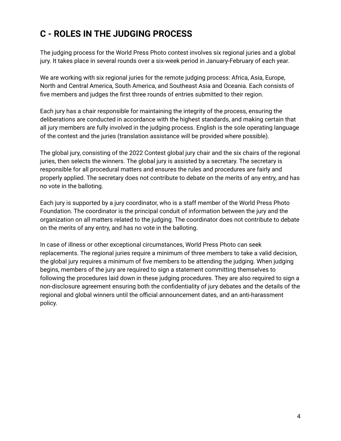### **C - ROLES IN THE JUDGING PROCESS**

The judging process for the World Press Photo contest involves six regional juries and a global jury. It takes place in several rounds over a six-week period in January-February of each year.

We are working with six regional juries for the remote judging process: Africa, Asia, Europe, North and Central America, South America, and Southeast Asia and Oceania. Each consists of five members and judges the first three rounds of entries submitted to their region.

Each jury has a chair responsible for maintaining the integrity of the process, ensuring the deliberations are conducted in accordance with the highest standards, and making certain that all jury members are fully involved in the judging process. English is the sole operating language of the contest and the juries (translation assistance will be provided where possible).

The global jury, consisting of the 2022 Contest global jury chair and the six chairs of the regional juries, then selects the winners. The global jury is assisted by a secretary. The secretary is responsible for all procedural matters and ensures the rules and procedures are fairly and properly applied. The secretary does not contribute to debate on the merits of any entry, and has no vote in the balloting.

Each jury is supported by a jury coordinator, who is a staff member of the World Press Photo Foundation. The coordinator is the principal conduit of information between the jury and the organization on all matters related to the judging. The coordinator does not contribute to debate on the merits of any entry, and has no vote in the balloting.

In case of illness or other exceptional circumstances, World Press Photo can seek replacements. The regional juries require a minimum of three members to take a valid decision, the global jury requires a minimum of five members to be attending the judging. When judging begins, members of the jury are required to sign a statement committing themselves to following the procedures laid down in these judging procedures. They are also required to sign a non-disclosure agreement ensuring both the confidentiality of jury debates and the details of the regional and global winners until the official announcement dates, and an anti-harassment policy.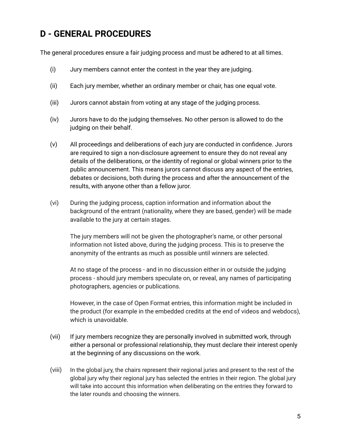### **D - GENERAL PROCEDURES**

The general procedures ensure a fair judging process and must be adhered to at all times.

- (i) Jury members cannot enter the contest in the year they are judging.
- (ii) Each jury member, whether an ordinary member or chair, has one equal vote.
- (iii) Jurors cannot abstain from voting at any stage of the judging process.
- (iv) Jurors have to do the judging themselves. No other person is allowed to do the judging on their behalf.
- (v) All proceedings and deliberations of each jury are conducted in confidence. Jurors are required to sign a non-disclosure agreement to ensure they do not reveal any details of the deliberations, or the identity of regional or global winners prior to the public announcement. This means jurors cannot discuss any aspect of the entries, debates or decisions, both during the process and after the announcement of the results, with anyone other than a fellow juror.
- (vi) During the judging process, caption information and information about the background of the entrant (nationality, where they are based, gender) will be made available to the jury at certain stages.

The jury members will not be given the photographer's name, or other personal information not listed above, during the judging process. This is to preserve the anonymity of the entrants as much as possible until winners are selected.

At no stage of the process - and in no discussion either in or outside the judging process - should jury members speculate on, or reveal, any names of participating photographers, agencies or publications.

However, in the case of Open Format entries, this information might be included in the product (for example in the embedded credits at the end of videos and webdocs), which is unavoidable.

- (vii) If jury members recognize they are personally involved in submitted work, through either a personal or professional relationship, they must declare their interest openly at the beginning of any discussions on the work.
- (viii) In the global jury, the chairs represent their regional juries and present to the rest of the global jury why their regional jury has selected the entries in their region. The global jury will take into account this information when deliberating on the entries they forward to the later rounds and choosing the winners.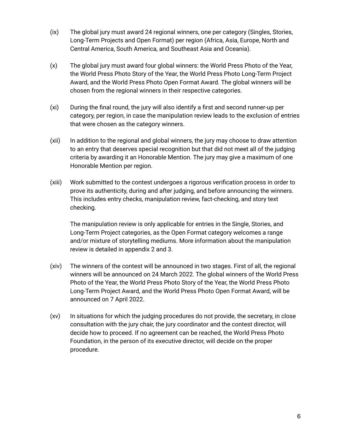- (ix) The global jury must award 24 regional winners, one per category (Singles, Stories, Long-Term Projects and Open Format) per region (Africa, Asia, Europe, North and Central America, South America, and Southeast Asia and Oceania).
- (x) The global jury must award four global winners: the World Press Photo of the Year, the World Press Photo Story of the Year, the World Press Photo Long-Term Project Award, and the World Press Photo Open Format Award. The global winners will be chosen from the regional winners in their respective categories.
- (xi) During the final round, the jury will also identify a first and second runner-up per category, per region, in case the manipulation review leads to the exclusion of entries that were chosen as the category winners.
- (xii) In addition to the regional and global winners, the jury may choose to draw attention to an entry that deserves special recognition but that did not meet all of the judging criteria by awarding it an Honorable Mention. The jury may give a maximum of one Honorable Mention per region.
- (xiii) Work submitted to the contest undergoes a rigorous verification process in order to prove its authenticity, during and after judging, and before announcing the winners. This includes entry checks, manipulation review, fact-checking, and story text checking.

The manipulation review is only applicable for entries in the Single, Stories, and Long-Term Project categories, as the Open Format category welcomes a range and/or mixture of storytelling mediums. More information about the manipulation review is detailed in appendix 2 and 3.

- (xiv) The winners of the contest will be announced in two stages. First of all, the regional winners will be announced on 24 March 2022. The global winners of the World Press Photo of the Year, the World Press Photo Story of the Year, the World Press Photo Long-Term Project Award, and the World Press Photo Open Format Award, will be announced on 7 April 2022.
- (xv) In situations for which the judging procedures do not provide, the secretary, in close consultation with the jury chair, the jury coordinator and the contest director, will decide how to proceed. If no agreement can be reached, the World Press Photo Foundation, in the person of its executive director, will decide on the proper procedure.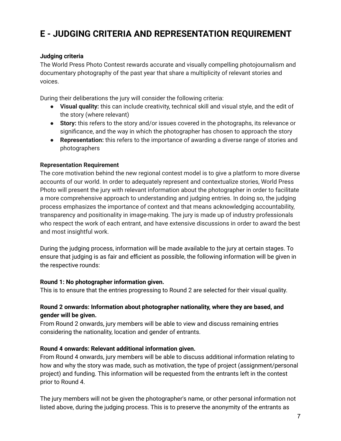### **E - JUDGING CRITERIA AND REPRESENTATION REQUIREMENT**

#### **Judging criteria**

The World Press Photo Contest rewards accurate and visually compelling photojournalism and documentary photography of the past year that share a multiplicity of relevant stories and voices.

During their deliberations the jury will consider the following criteria:

- **Visual quality:** this can include creativity, technical skill and visual style, and the edit of the story (where relevant)
- **Story:** this refers to the story and/or issues covered in the photographs, its relevance or significance, and the way in which the photographer has chosen to approach the story
- **Representation:** this refers to the importance of awarding a diverse range of stories and photographers

#### **Representation Requirement**

The core motivation behind the new regional contest model is to give a platform to more diverse accounts of our world. In order to adequately represent and contextualize stories, World Press Photo will present the jury with relevant information about the photographer in order to facilitate a more comprehensive approach to understanding and judging entries. In doing so, the judging process emphasizes the importance of context and that means acknowledging accountability, transparency and positionality in image-making. The jury is made up of industry professionals who respect the work of each entrant, and have extensive discussions in order to award the best and most insightful work.

During the judging process, information will be made available to the jury at certain stages. To ensure that judging is as fair and efficient as possible, the following information will be given in the respective rounds:

#### **Round 1: No photographer information given.**

This is to ensure that the entries progressing to Round 2 are selected for their visual quality.

#### **Round 2 onwards: Information about photographer nationality, where they are based, and gender will be given.**

From Round 2 onwards, jury members will be able to view and discuss remaining entries considering the nationality, location and gender of entrants.

#### **Round 4 onwards: Relevant additional information given.**

From Round 4 onwards, jury members will be able to discuss additional information relating to how and why the story was made, such as motivation, the type of project (assignment/personal project) and funding. This information will be requested from the entrants left in the contest prior to Round 4.

The jury members will not be given the photographer's name, or other personal information not listed above, during the judging process. This is to preserve the anonymity of the entrants as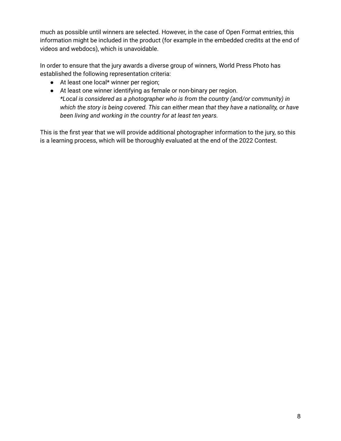much as possible until winners are selected. However, in the case of Open Format entries, this information might be included in the product (for example in the embedded credits at the end of videos and webdocs), which is unavoidable.

In order to ensure that the jury awards a diverse group of winners, World Press Photo has established the following representation criteria:

- At least one local\* winner per region;
- At least one winner identifying as female or non-binary per region. *\*Local is considered as a photographer who is from the country (and/or community) in which the story is being covered. This can either mean that they have a nationality, or have been living and working in the country for at least ten years.*

This is the first year that we will provide additional photographer information to the jury, so this is a learning process, which will be thoroughly evaluated at the end of the 2022 Contest.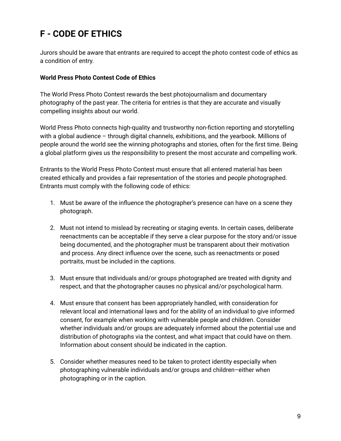### **F - CODE OF ETHICS**

Jurors should be aware that entrants are required to accept the photo contest code of ethics as a condition of entry.

#### **World Press Photo Contest Code of Ethics**

The World Press Photo Contest rewards the best photojournalism and documentary photography of the past year. The criteria for entries is that they are accurate and visually compelling insights about our world.

World Press Photo connects high-quality and trustworthy non-fiction reporting and storytelling with a global audience – through digital channels, exhibitions, and the yearbook. Millions of people around the world see the winning photographs and stories, often for the first time. Being a global platform gives us the responsibility to present the most accurate and compelling work.

Entrants to the World Press Photo Contest must ensure that all entered material has been created ethically and provides a fair representation of the stories and people photographed. Entrants must comply with the following code of ethics:

- 1. Must be aware of the influence the photographer's presence can have on a scene they photograph.
- 2. Must not intend to mislead by recreating or staging events. In certain cases, deliberate reenactments can be acceptable if they serve a clear purpose for the story and/or issue being documented, and the photographer must be transparent about their motivation and process. Any direct influence over the scene, such as reenactments or posed portraits, must be included in the captions.
- 3. Must ensure that individuals and/or groups photographed are treated with dignity and respect, and that the photographer causes no physical and/or psychological harm.
- 4. Must ensure that consent has been appropriately handled, with consideration for relevant local and international laws and for the ability of an individual to give informed consent, for example when working with vulnerable people and children. Consider whether individuals and/or groups are adequately informed about the potential use and distribution of photographs via the contest, and what impact that could have on them. Information about consent should be indicated in the caption.
- 5. Consider whether measures need to be taken to protect identity especially when photographing vulnerable individuals and/or groups and children–either when photographing or in the caption.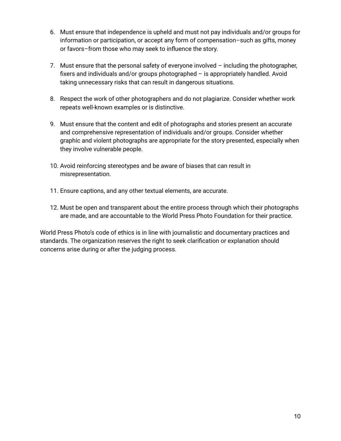- 6. Must ensure that independence is upheld and must not pay individuals and/or groups for information or participation, or accept any form of compensation–such as gifts, money or favors–from those who may seek to influence the story.
- 7. Must ensure that the personal safety of everyone involved including the photographer, fixers and individuals and/or groups photographed – is appropriately handled. Avoid taking unnecessary risks that can result in dangerous situations.
- 8. Respect the work of other photographers and do not plagiarize. Consider whether work repeats well-known examples or is distinctive.
- 9. Must ensure that the content and edit of photographs and stories present an accurate and comprehensive representation of individuals and/or groups. Consider whether graphic and violent photographs are appropriate for the story presented, especially when they involve vulnerable people.
- 10. Avoid reinforcing stereotypes and be aware of biases that can result in misrepresentation.
- 11. Ensure captions, and any other textual elements, are accurate.
- 12. Must be open and transparent about the entire process through which their photographs are made, and are accountable to the World Press Photo Foundation for their practice.

World Press Photo's code of ethics is in line with journalistic and documentary practices and standards. The organization reserves the right to seek clarification or explanation should concerns arise during or after the judging process.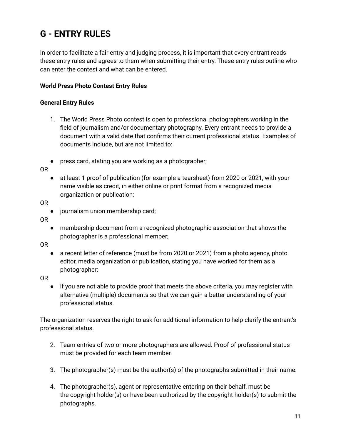### **G - ENTRY RULES**

In order to facilitate a fair entry and judging process, it is important that every entrant reads these entry rules and agrees to them when submitting their entry. These entry rules outline who can enter the contest and what can be entered.

#### **World Press Photo Contest Entry Rules**

#### **General Entry Rules**

- 1. The World Press Photo contest is open to professional photographers working in the field of journalism and/or documentary photography. Every entrant needs to provide a document with a valid date that confirms their current professional status. Examples of documents include, but are not limited to:
- press card, stating you are working as a photographer;

OR

● at least 1 proof of publication (for example a tearsheet) from 2020 or 2021, with your name visible as credit, in either online or print format from a recognized media organization or publication;

OR

OR

● membership document from a recognized photographic association that shows the photographer is a professional member;

OR

● a recent letter of reference (must be from 2020 or 2021) from a photo agency, photo editor, media organization or publication, stating you have worked for them as a photographer;

OR

● if you are not able to provide proof that meets the above criteria, you may register with alternative (multiple) documents so that we can gain a better understanding of your professional status.

The organization reserves the right to ask for additional information to help clarify the entrant's professional status.

- 2. Team entries of two or more photographers are allowed. Proof of professional status must be provided for each team member.
- 3. The photographer(s) must be the author(s) of the photographs submitted in their name.
- 4. The photographer(s), agent or representative entering on their behalf, must be the copyright holder(s) or have been authorized by the copyright holder(s) to submit the photographs.

<sup>●</sup> journalism union membership card;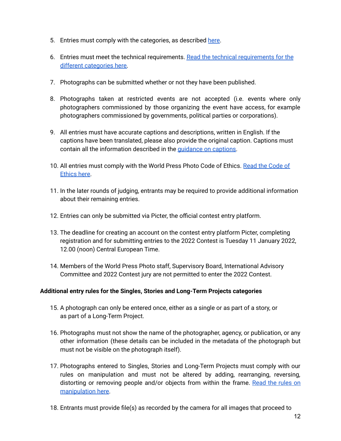- 5. Entries must comply with the categories, as described [here.](https://www.worldpressphoto.org/contest/2022/categories)
- 6. Entries must meet the technical requirements. Read the technical [requirements](https://www.worldpressphoto.org/contest/2022/entry-rules/technical-requirements) for the different [categories](https://www.worldpressphoto.org/contest/2022/entry-rules/technical-requirements) here.
- 7. Photographs can be submitted whether or not they have been published.
- 8. Photographs taken at restricted events are not accepted (i.e. events where only photographers commissioned by those organizing the event have access, for example photographers commissioned by governments, political parties or corporations).
- 9. All entries must have accurate captions and descriptions, written in English. If the captions have been translated, please also provide the original caption. Captions must contain all the information described in the [guidance](https://www.worldpressphoto.org/contest/2022/what-is-required-in-captions) on captions.
- 10. All entries must comply with the World Press Photo [Code](https://www.worldpressphoto.org/contest/2022/code-of-ethics) of Ethics. Read the Code of [Ethics](https://www.worldpressphoto.org/contest/2022/code-of-ethics) here.
- 11. In the later rounds of judging, entrants may be required to provide additional information about their remaining entries.
- 12. Entries can only be submitted via Picter, the official contest entry platform.
- 13. The deadline for creating an account on the contest entry platform Picter, completing registration and for submitting entries to the 2022 Contest is Tuesday 11 January 2022, 12.00 (noon) Central European Time.
- 14. Members of the World Press Photo staff, Supervisory Board, International Advisory Committee and 2022 Contest jury are not permitted to enter the 2022 Contest.

#### **Additional entry rules for the Singles, Stories and Long-Term Projects categories**

- 15. A photograph can only be entered once, either as a single or as part of a story, or as part of a Long-Term Project.
- 16. Photographs must not show the name of the photographer, agency, or publication, or any other information (these details can be included in the metadata of the photograph but must not be visible on the photograph itself).
- 17. Photographs entered to Singles, Stories and Long-Term Projects must comply with our rules on manipulation and must not be altered by adding, rearranging, reversing, distorting or removing people and/or objects from within the frame. [Read](https://www.worldpressphoto.org/contest/2022/verification-process/what-counts-as-manipulation) the rules on [manipulation](https://www.worldpressphoto.org/contest/2022/verification-process/what-counts-as-manipulation) here.
- 18. Entrants must provide file(s) as recorded by the camera for all images that proceed to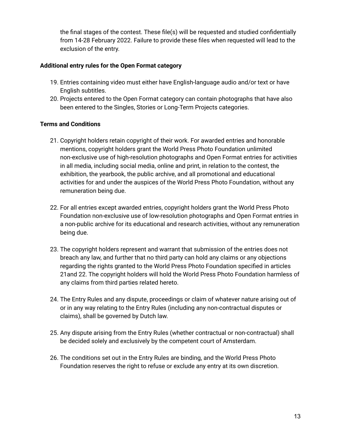the final stages of the contest. These file(s) will be requested and studied confidentially from 14-28 February 2022. Failure to provide these files when requested will lead to the exclusion of the entry.

#### **Additional entry rules for the Open Format category**

- 19. Entries containing video must either have English-language audio and/or text or have English subtitles.
- 20. Projects entered to the Open Format category can contain photographs that have also been entered to the Singles, Stories or Long-Term Projects categories.

#### **Terms and Conditions**

- 21. Copyright holders retain copyright of their work. For awarded entries and honorable mentions, copyright holders grant the World Press Photo Foundation unlimited non-exclusive use of high-resolution photographs and Open Format entries for activities in all media, including social media, online and print, in relation to the contest, the exhibition, the yearbook, the public archive, and all promotional and educational activities for and under the auspices of the World Press Photo Foundation, without any remuneration being due.
- 22. For all entries except awarded entries, copyright holders grant the World Press Photo Foundation non-exclusive use of low-resolution photographs and Open Format entries in a non-public archive for its educational and research activities, without any remuneration being due.
- 23. The copyright holders represent and warrant that submission of the entries does not breach any law, and further that no third party can hold any claims or any objections regarding the rights granted to the World Press Photo Foundation specified in articles 21and 22. The copyright holders will hold the World Press Photo Foundation harmless of any claims from third parties related hereto.
- 24. The Entry Rules and any dispute, proceedings or claim of whatever nature arising out of or in any way relating to the Entry Rules (including any non-contractual disputes or claims), shall be governed by Dutch law.
- 25. Any dispute arising from the Entry Rules (whether contractual or non-contractual) shall be decided solely and exclusively by the competent court of Amsterdam.
- 26. The conditions set out in the Entry Rules are binding, and the World Press Photo Foundation reserves the right to refuse or exclude any entry at its own discretion.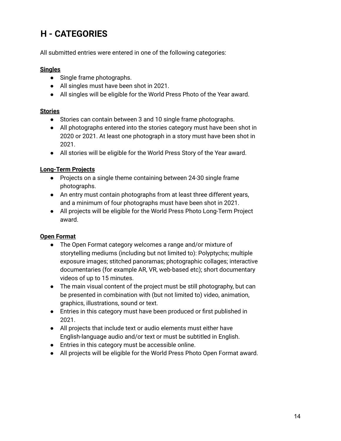# **H - CATEGORIES**

All submitted entries were entered in one of the following categories:

#### **Singles**

- Single frame photographs.
- All singles must have been shot in 2021.
- All singles will be eligible for the World Press Photo of the Year award.

#### **Stories**

- Stories can contain between 3 and 10 single frame photographs.
- All photographs entered into the stories category must have been shot in 2020 or 2021. At least one photograph in a story must have been shot in 2021.
- All stories will be eligible for the World Press Story of the Year award.

#### **Long-Term Projects**

- Projects on a single theme containing between 24-30 single frame photographs.
- An entry must contain photographs from at least three different years, and a minimum of four photographs must have been shot in 2021.
- All projects will be eligible for the World Press Photo Long-Term Project award.

#### **Open Format**

- The Open Format category welcomes a range and/or mixture of storytelling mediums (including but not limited to): Polyptychs; multiple exposure images; stitched panoramas; photographic collages; interactive documentaries (for example AR, VR, web-based etc); short documentary videos of up to 15 minutes.
- The main visual content of the project must be still photography, but can be presented in combination with (but not limited to) video, animation, graphics, illustrations, sound or text.
- Entries in this category must have been produced or first published in 2021.
- All projects that include text or audio elements must either have English-language audio and/or text or must be subtitled in English.
- Entries in this category must be accessible online.
- All projects will be eligible for the World Press Photo Open Format award.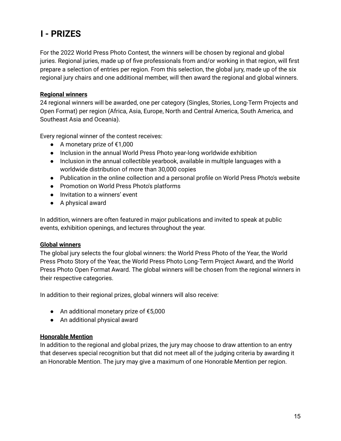### **I - PRIZES**

For the 2022 World Press Photo Contest, the winners will be chosen by regional and global juries. Regional juries, made up of five professionals from and/or working in that region, will first prepare a selection of entries per region. From this selection, the global jury, made up of the six regional jury chairs and one additional member, will then award the regional and global winners.

#### **Regional winners**

24 regional winners will be awarded, one per category (Singles, Stories, Long-Term Projects and Open Format) per region (Africa, Asia, Europe, North and Central America, South America, and Southeast Asia and Oceania).

Every regional winner of the contest receives:

- $\bullet$  A monetary prize of €1,000
- Inclusion in the annual World Press Photo year-long worldwide exhibition
- Inclusion in the annual collectible yearbook, available in multiple languages with a worldwide distribution of more than 30,000 copies
- Publication in the online collection and a personal profile on World Press Photo's website
- Promotion on World Press Photo's platforms
- Invitation to a winners' event
- A physical award

In addition, winners are often featured in major publications and invited to speak at public events, exhibition openings, and lectures throughout the year.

#### **Global winners**

The global jury selects the four global winners: the World Press Photo of the Year, the World Press Photo Story of the Year, the World Press Photo Long-Term Project Award, and the World Press Photo Open Format Award. The global winners will be chosen from the regional winners in their respective categories.

In addition to their regional prizes, global winners will also receive:

- An additional monetary prize of €5,000
- An additional physical award

#### **Honorable Mention**

In addition to the regional and global prizes, the jury may choose to draw attention to an entry that deserves special recognition but that did not meet all of the judging criteria by awarding it an Honorable Mention. The jury may give a maximum of one Honorable Mention per region.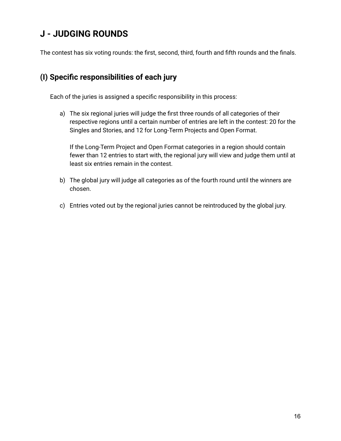### **J - JUDGING ROUNDS**

The contest has six voting rounds: the first, second, third, fourth and fifth rounds and the finals.

### **(I) Specific responsibilities of each jury**

Each of the juries is assigned a specific responsibility in this process:

a) The six regional juries will judge the first three rounds of all categories of their respective regions until a certain number of entries are left in the contest: 20 for the Singles and Stories, and 12 for Long-Term Projects and Open Format.

If the Long-Term Project and Open Format categories in a region should contain fewer than 12 entries to start with, the regional jury will view and judge them until at least six entries remain in the contest.

- b) The global jury will judge all categories as of the fourth round until the winners are chosen.
- c) Entries voted out by the regional juries cannot be reintroduced by the global jury.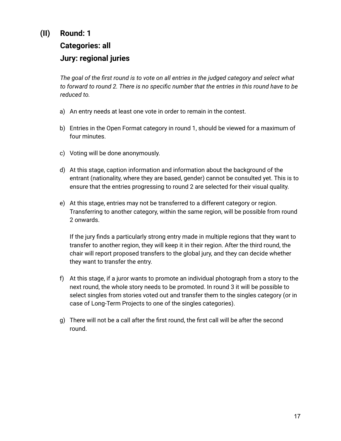### **(II) Round: 1**

### **Categories: all Jury: regional juries**

The goal of the first round is to vote on all entries in the judged category and select what to forward to round 2. There is no specific number that the entries in this round have to be *reduced to.*

- a) An entry needs at least one vote in order to remain in the contest.
- b) Entries in the Open Format category in round 1, should be viewed for a maximum of four minutes.
- c) Voting will be done anonymously.
- d) At this stage, caption information and information about the background of the entrant (nationality, where they are based, gender) cannot be consulted yet. This is to ensure that the entries progressing to round 2 are selected for their visual quality.
- e) At this stage, entries may not be transferred to a different category or region. Transferring to another category, within the same region, will be possible from round 2 onwards.

If the jury finds a particularly strong entry made in multiple regions that they want to transfer to another region, they will keep it in their region. After the third round, the chair will report proposed transfers to the global jury, and they can decide whether they want to transfer the entry.

- f) At this stage, if a juror wants to promote an individual photograph from a story to the next round, the whole story needs to be promoted. In round 3 it will be possible to select singles from stories voted out and transfer them to the singles category (or in case of Long-Term Projects to one of the singles categories).
- g) There will not be a call after the first round, the first call will be after the second round.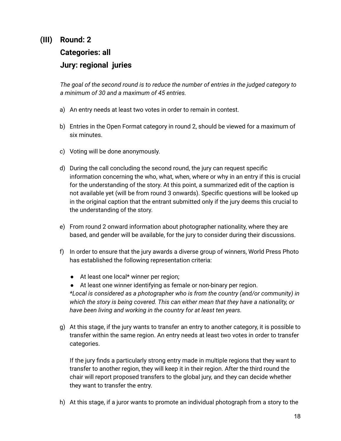### **(III) Round: 2**

## **Categories: all Jury: regional juries**

*The goal of the second round is to reduce the number of entries in the judged category to a minimum of 30 and a maximum of 45 entries.*

- a) An entry needs at least two votes in order to remain in contest.
- b) Entries in the Open Format category in round 2, should be viewed for a maximum of six minutes.
- c) Voting will be done anonymously.
- d) During the call concluding the second round, the jury can request specific information concerning the who, what, when, where or why in an entry if this is crucial for the understanding of the story. At this point, a summarized edit of the caption is not available yet (will be from round 3 onwards). Specific questions will be looked up in the original caption that the entrant submitted only if the jury deems this crucial to the understanding of the story.
- e) From round 2 onward information about photographer nationality, where they are based, and gender will be available, for the jury to consider during their discussions.
- f) In order to ensure that the jury awards a diverse group of winners, World Press Photo has established the following representation criteria:
	- At least one local\* winner per region;
	- At least one winner identifying as female or non-binary per region.

*\*Local is considered as a photographer who is from the country (and/or community) in which the story is being covered. This can either mean that they have a nationality, or have been living and working in the country for at least ten years.*

g) At this stage, if the jury wants to transfer an entry to another category, it is possible to transfer within the same region. An entry needs at least two votes in order to transfer categories.

If the jury finds a particularly strong entry made in multiple regions that they want to transfer to another region, they will keep it in their region. After the third round the chair will report proposed transfers to the global jury, and they can decide whether they want to transfer the entry.

h) At this stage, if a juror wants to promote an individual photograph from a story to the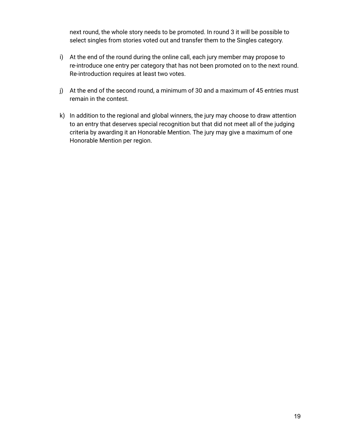next round, the whole story needs to be promoted. In round 3 it will be possible to select singles from stories voted out and transfer them to the Singles category.

- i) At the end of the round during the online call, each jury member may propose to re-introduce one entry per category that has not been promoted on to the next round. Re-introduction requires at least two votes.
- j) At the end of the second round, a minimum of 30 and a maximum of 45 entries must remain in the contest.
- k) In addition to the regional and global winners, the jury may choose to draw attention to an entry that deserves special recognition but that did not meet all of the judging criteria by awarding it an Honorable Mention. The jury may give a maximum of one Honorable Mention per region.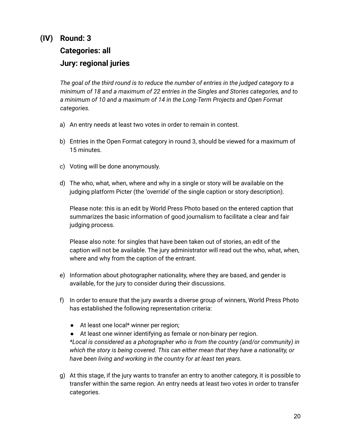# **(IV) Round: 3**

### **Categories: all Jury: regional juries**

*The goal of the third round is to reduce the number of entries in the judged category to a minimum of 18 and a maximum of 22 entries in the Singles and Stories categories, and to a minimum of 10 and a maximum of 14 in the Long-Term Projects and Open Format categories.*

- a) An entry needs at least two votes in order to remain in contest.
- b) Entries in the Open Format category in round 3, should be viewed for a maximum of 15 minutes.
- c) Voting will be done anonymously.
- d) The who, what, when, where and why in a single or story will be available on the judging platform Picter (the 'override' of the single caption or story description).

Please note: this is an edit by World Press Photo based on the entered caption that summarizes the basic information of good journalism to facilitate a clear and fair judging process.

Please also note: for singles that have been taken out of stories, an edit of the caption will not be available. The jury administrator will read out the who, what, when, where and why from the caption of the entrant.

- e) Information about photographer nationality, where they are based, and gender is available, for the jury to consider during their discussions.
- f) In order to ensure that the jury awards a diverse group of winners, World Press Photo has established the following representation criteria:
	- At least one local\* winner per region;
	- At least one winner identifying as female or non-binary per region. *\*Local is considered as a photographer who is from the country (and/or community) in which the story is being covered. This can either mean that they have a nationality, or have been living and working in the country for at least ten years.*
- g) At this stage, if the jury wants to transfer an entry to another category, it is possible to transfer within the same region. An entry needs at least two votes in order to transfer categories.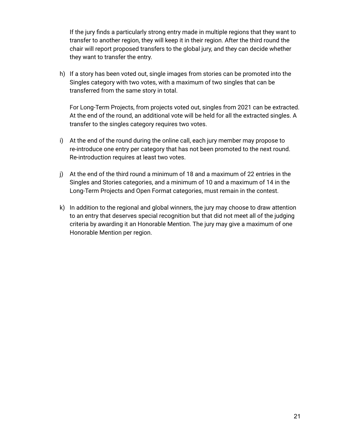If the jury finds a particularly strong entry made in multiple regions that they want to transfer to another region, they will keep it in their region. After the third round the chair will report proposed transfers to the global jury, and they can decide whether they want to transfer the entry.

h) If a story has been voted out, single images from stories can be promoted into the Singles category with two votes, with a maximum of two singles that can be transferred from the same story in total.

For Long-Term Projects, from projects voted out, singles from 2021 can be extracted. At the end of the round, an additional vote will be held for all the extracted singles. A transfer to the singles category requires two votes.

- i) At the end of the round during the online call, each jury member may propose to re-introduce one entry per category that has not been promoted to the next round. Re-introduction requires at least two votes.
- j) At the end of the third round a minimum of 18 and a maximum of 22 entries in the Singles and Stories categories, and a minimum of 10 and a maximum of 14 in the Long-Term Projects and Open Format categories, must remain in the contest.
- k) In addition to the regional and global winners, the jury may choose to draw attention to an entry that deserves special recognition but that did not meet all of the judging criteria by awarding it an Honorable Mention. The jury may give a maximum of one Honorable Mention per region.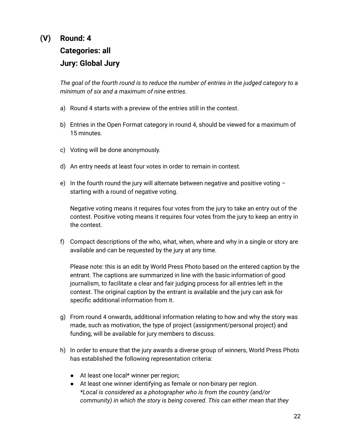### **(V) Round: 4 Categories: all Jury: Global Jury**

*The goal of the fourth round is to reduce the number of entries in the judged category to a minimum of six and a maximum of nine entries.*

- a) Round 4 starts with a preview of the entries still in the contest.
- b) Entries in the Open Format category in round 4, should be viewed for a maximum of 15 minutes.
- c) Voting will be done anonymously.
- d) An entry needs at least four votes in order to remain in contest.
- e) In the fourth round the jury will alternate between negative and positive voting  $$ starting with a round of negative voting.

Negative voting means it requires four votes from the jury to take an entry out of the contest. Positive voting means it requires four votes from the jury to keep an entry in the contest.

f) Compact descriptions of the who, what, when, where and why in a single or story are available and can be requested by the jury at any time.

Please note: this is an edit by World Press Photo based on the entered caption by the entrant. The captions are summarized in line with the basic information of good journalism, to facilitate a clear and fair judging process for all entries left in the contest. The original caption by the entrant is available and the jury can ask for specific additional information from it.

- g) From round 4 onwards, additional information relating to how and why the story was made, such as motivation, the type of project (assignment/personal project) and funding, will be available for jury members to discuss.
- h) In order to ensure that the jury awards a diverse group of winners, World Press Photo has established the following representation criteria:
	- At least one local\* winner per region;
	- At least one winner identifying as female or non-binary per region. *\*Local is considered as a photographer who is from the country (and/or community) in which the story is being covered. This can either mean that they*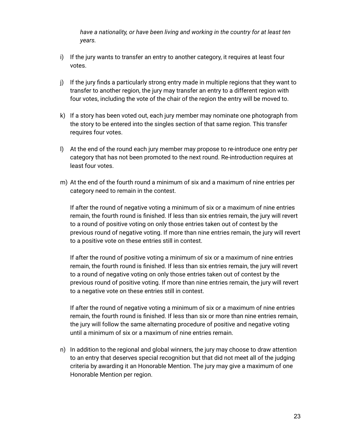*have a nationality, or have been living and working in the country for at least ten years.*

- i) If the jury wants to transfer an entry to another category, it requires at least four votes.
- j) If the jury finds a particularly strong entry made in multiple regions that they want to transfer to another region, the jury may transfer an entry to a different region with four votes, including the vote of the chair of the region the entry will be moved to.
- k) If a story has been voted out, each jury member may nominate one photograph from the story to be entered into the singles section of that same region. This transfer requires four votes.
- l) At the end of the round each jury member may propose to re-introduce one entry per category that has not been promoted to the next round. Re-introduction requires at least four votes.
- m) At the end of the fourth round a minimum of six and a maximum of nine entries per category need to remain in the contest.

If after the round of negative voting a minimum of six or a maximum of nine entries remain, the fourth round is finished. If less than six entries remain, the jury will revert to a round of positive voting on only those entries taken out of contest by the previous round of negative voting. If more than nine entries remain, the jury will revert to a positive vote on these entries still in contest.

If after the round of positive voting a minimum of six or a maximum of nine entries remain, the fourth round is finished. If less than six entries remain, the jury will revert to a round of negative voting on only those entries taken out of contest by the previous round of positive voting. If more than nine entries remain, the jury will revert to a negative vote on these entries still in contest.

If after the round of negative voting a minimum of six or a maximum of nine entries remain, the fourth round is finished. If less than six or more than nine entries remain, the jury will follow the same alternating procedure of positive and negative voting until a minimum of six or a maximum of nine entries remain.

n) In addition to the regional and global winners, the jury may choose to draw attention to an entry that deserves special recognition but that did not meet all of the judging criteria by awarding it an Honorable Mention. The jury may give a maximum of one Honorable Mention per region.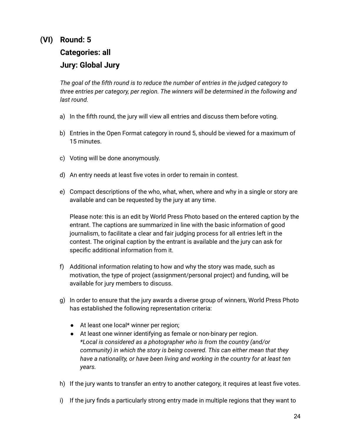### **(VI) Round: 5 Categories: all Jury: Global Jury**

*The goal of the fifth round is to reduce the number of entries in the judged category to three entries per category, per region. The winners will be determined in the following and last round.*

- a) In the fifth round, the jury will view all entries and discuss them before voting.
- b) Entries in the Open Format category in round 5, should be viewed for a maximum of 15 minutes.
- c) Voting will be done anonymously.
- d) An entry needs at least five votes in order to remain in contest.
- e) Compact descriptions of the who, what, when, where and why in a single or story are available and can be requested by the jury at any time.

Please note: this is an edit by World Press Photo based on the entered caption by the entrant. The captions are summarized in line with the basic information of good journalism, to facilitate a clear and fair judging process for all entries left in the contest. The original caption by the entrant is available and the jury can ask for specific additional information from it.

- f) Additional information relating to how and why the story was made, such as motivation, the type of project (assignment/personal project) and funding, will be available for jury members to discuss.
- g) In order to ensure that the jury awards a diverse group of winners, World Press Photo has established the following representation criteria:
	- At least one local\* winner per region;
	- At least one winner identifying as female or non-binary per region. *\*Local is considered as a photographer who is from the country (and/or community) in which the story is being covered. This can either mean that they have a nationality, or have been living and working in the country for at least ten years.*
- h) If the jury wants to transfer an entry to another category, it requires at least five votes.
- i) If the jury finds a particularly strong entry made in multiple regions that they want to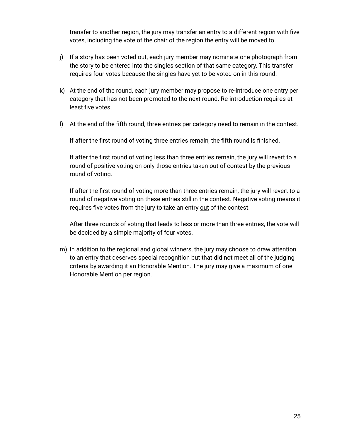transfer to another region, the jury may transfer an entry to a different region with five votes, including the vote of the chair of the region the entry will be moved to.

- j) If a story has been voted out, each jury member may nominate one photograph from the story to be entered into the singles section of that same category. This transfer requires four votes because the singles have yet to be voted on in this round.
- k) At the end of the round, each jury member may propose to re-introduce one entry per category that has not been promoted to the next round. Re-introduction requires at least five votes.
- l) At the end of the fifth round, three entries per category need to remain in the contest.

If after the first round of voting three entries remain, the fifth round is finished.

If after the first round of voting less than three entries remain, the jury will revert to a round of positive voting on only those entries taken out of contest by the previous round of voting.

If after the first round of voting more than three entries remain, the jury will revert to a round of negative voting on these entries still in the contest. Negative voting means it requires five votes from the jury to take an entry out of the contest.

After three rounds of voting that leads to less or more than three entries, the vote will be decided by a simple majority of four votes.

m) In addition to the regional and global winners, the jury may choose to draw attention to an entry that deserves special recognition but that did not meet all of the judging criteria by awarding it an Honorable Mention. The jury may give a maximum of one Honorable Mention per region.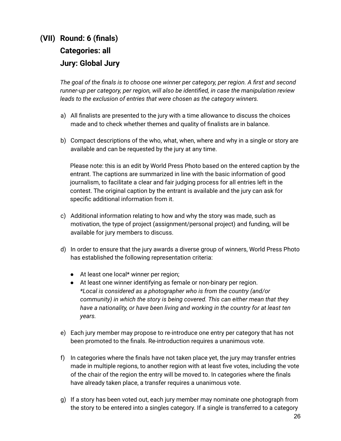### **(VII) Round: 6 (finals) Categories: all Jury: Global Jury**

*The goal of the finals is to choose one winner per category, per region. A first and second runner-up per category, per region, will also be identified, in case the manipulation review leads to the exclusion of entries that were chosen as the category winners.*

- a) All finalists are presented to the jury with a time allowance to discuss the choices made and to check whether themes and quality of finalists are in balance.
- b) Compact descriptions of the who, what, when, where and why in a single or story are available and can be requested by the jury at any time.

Please note: this is an edit by World Press Photo based on the entered caption by the entrant. The captions are summarized in line with the basic information of good journalism, to facilitate a clear and fair judging process for all entries left in the contest. The original caption by the entrant is available and the jury can ask for specific additional information from it.

- c) Additional information relating to how and why the story was made, such as motivation, the type of project (assignment/personal project) and funding, will be available for jury members to discuss.
- d) In order to ensure that the jury awards a diverse group of winners, World Press Photo has established the following representation criteria:
	- At least one local\* winner per region;
	- At least one winner identifying as female or non-binary per region. *\*Local is considered as a photographer who is from the country (and/or community) in which the story is being covered. This can either mean that they have a nationality, or have been living and working in the country for at least ten years.*
- e) Each jury member may propose to re-introduce one entry per category that has not been promoted to the finals. Re-introduction requires a unanimous vote.
- f) In categories where the finals have not taken place yet, the jury may transfer entries made in multiple regions, to another region with at least five votes, including the vote of the chair of the region the entry will be moved to. In categories where the finals have already taken place, a transfer requires a unanimous vote.
- g) If a story has been voted out, each jury member may nominate one photograph from the story to be entered into a singles category. If a single is transferred to a category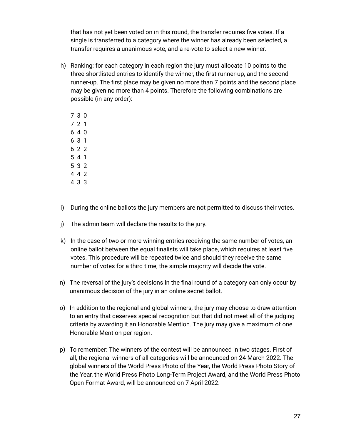that has not yet been voted on in this round, the transfer requires five votes. If a single is transferred to a category where the winner has already been selected, a transfer requires a unanimous vote, and a re-vote to select a new winner.

h) Ranking: for each category in each region the jury must allocate 10 points to the three shortlisted entries to identify the winner, the first runner-up, and the second runner-up. The first place may be given no more than 7 points and the second place may be given no more than 4 points. Therefore the following combinations are possible (in any order):

- i) During the online ballots the jury members are not permitted to discuss their votes.
- j) The admin team will declare the results to the jury.
- k) In the case of two or more winning entries receiving the same number of votes, an online ballot between the equal finalists will take place, which requires at least five votes. This procedure will be repeated twice and should they receive the same number of votes for a third time, the simple majority will decide the vote.
- n) The reversal of the jury's decisions in the final round of a category can only occur by unanimous decision of the jury in an online secret ballot.
- o) In addition to the regional and global winners, the jury may choose to draw attention to an entry that deserves special recognition but that did not meet all of the judging criteria by awarding it an Honorable Mention. The jury may give a maximum of one Honorable Mention per region.
- p) To remember: The winners of the contest will be announced in two stages. First of all, the regional winners of all categories will be announced on 24 March 2022. The global winners of the World Press Photo of the Year, the World Press Photo Story of the Year, the World Press Photo Long-Term Project Award, and the World Press Photo Open Format Award, will be announced on 7 April 2022.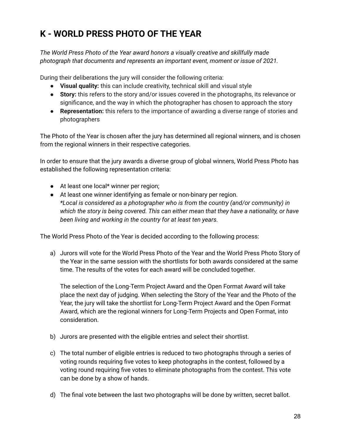# **K - WORLD PRESS PHOTO OF THE YEAR**

*The World Press Photo of the Year award honors a visually creative and skillfully made photograph that documents and represents an important event, moment or issue of 2021.*

During their deliberations the jury will consider the following criteria:

- **Visual quality:** this can include creativity, technical skill and visual style
- **Story:** this refers to the story and/or issues covered in the photographs, its relevance or significance, and the way in which the photographer has chosen to approach the story
- **Representation:** this refers to the importance of awarding a diverse range of stories and photographers

The Photo of the Year is chosen after the jury has determined all regional winners, and is chosen from the regional winners in their respective categories.

In order to ensure that the jury awards a diverse group of global winners, World Press Photo has established the following representation criteria:

- At least one local\* winner per region;
- At least one winner identifying as female or non-binary per region. *\*Local is considered as a photographer who is from the country (and/or community) in which the story is being covered. This can either mean that they have a nationality, or have been living and working in the country for at least ten years.*

The World Press Photo of the Year is decided according to the following process:

a) Jurors will vote for the World Press Photo of the Year and the World Press Photo Story of the Year in the same session with the shortlists for both awards considered at the same time. The results of the votes for each award will be concluded together.

The selection of the Long-Term Project Award and the Open Format Award will take place the next day of judging. When selecting the Story of the Year and the Photo of the Year, the jury will take the shortlist for Long-Term Project Award and the Open Format Award, which are the regional winners for Long-Term Projects and Open Format, into consideration.

- b) Jurors are presented with the eligible entries and select their shortlist.
- c) The total number of eligible entries is reduced to two photographs through a series of voting rounds requiring five votes to keep photographs in the contest, followed by a voting round requiring five votes to eliminate photographs from the contest. This vote can be done by a show of hands.
- d) The final vote between the last two photographs will be done by written, secret ballot.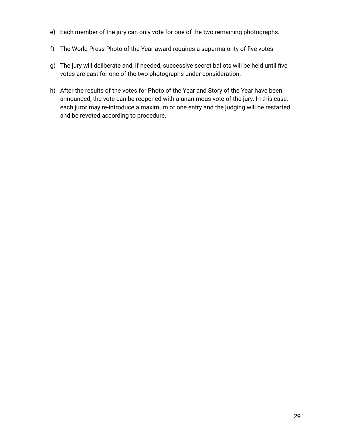- e) Each member of the jury can only vote for one of the two remaining photographs.
- f) The World Press Photo of the Year award requires a supermajority of five votes.
- g) The jury will deliberate and, if needed, successive secret ballots will be held until five votes are cast for one of the two photographs under consideration.
- h) After the results of the votes for Photo of the Year and Story of the Year have been announced, the vote can be reopened with a unanimous vote of the jury. In this case, each juror may re-introduce a maximum of one entry and the judging will be restarted and be revoted according to procedure.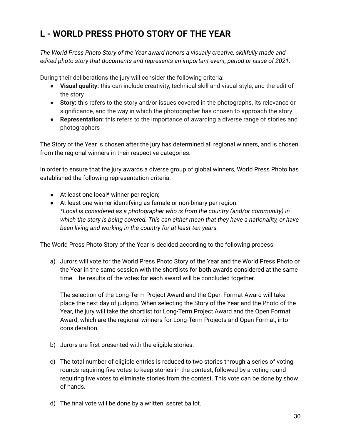# **L - WORLD PRESS PHOTO STORY OF THE YEAR**

*The World Press Photo Story of the Year award honors a visually creative, skillfully made and edited photo story that documents and represents an important event, period or issue of 2021.*

During their deliberations the jury will consider the following criteria:

- **Visual quality:** this can include creativity, technical skill and visual style, and the edit of the story
- **Story:** this refers to the story and/or issues covered in the photographs, its relevance or significance, and the way in which the photographer has chosen to approach the story
- **Representation:** this refers to the importance of awarding a diverse range of stories and photographers

The Story of the Year is chosen after the jury has determined all regional winners, and is chosen from the regional winners in their respective categories.

In order to ensure that the jury awards a diverse group of global winners, World Press Photo has established the following representation criteria:

- At least one local\* winner per region;
- At least one winner identifying as female or non-binary per region. *\*Local is considered as a photographer who is from the country (and/or community) in which the story is being covered. This can either mean that they have a nationality, or have been living and working in the country for at least ten years.*

The World Press Photo Story of the Year is decided according to the following process:

a) Jurors will vote for the World Press Photo Story of the Year and the World Press Photo of the Year in the same session with the shortlists for both awards considered at the same time. The results of the votes for each award will be concluded together.

The selection of the Long-Term Project Award and the Open Format Award will take place the next day of judging. When selecting the Story of the Year and the Photo of the Year, the jury will take the shortlist for Long-Term Project Award and the Open Format Award, which are the regional winners for Long-Term Projects and Open Format, into consideration.

- b) Jurors are first presented with the eligible stories.
- c) The total number of eligible entries is reduced to two stories through a series of voting rounds requiring five votes to keep stories in the contest, followed by a voting round requiring five votes to eliminate stories from the contest. This vote can be done by show of hands.
- d) The final vote will be done by a written, secret ballot.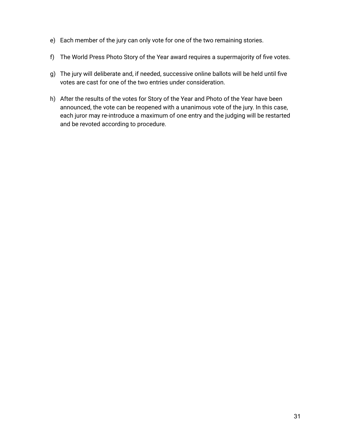- e) Each member of the jury can only vote for one of the two remaining stories.
- f) The World Press Photo Story of the Year award requires a supermajority of five votes.
- g) The jury will deliberate and, if needed, successive online ballots will be held until five votes are cast for one of the two entries under consideration.
- h) After the results of the votes for Story of the Year and Photo of the Year have been announced, the vote can be reopened with a unanimous vote of the jury. In this case, each juror may re-introduce a maximum of one entry and the judging will be restarted and be revoted according to procedure.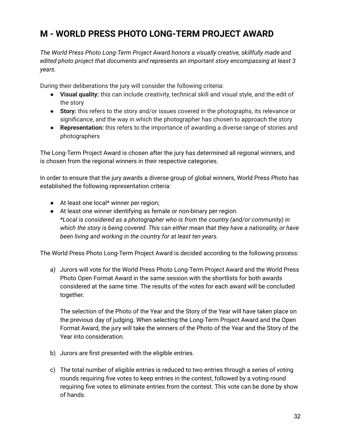### **M - WORLD PRESS PHOTO LONG-TERM PROJECT AWARD**

*The World Press Photo Long-Term Project Award honors a visually creative, skillfully made and edited photo project that documents and represents an important story encompassing at least 3 years.*

During their deliberations the jury will consider the following criteria:

- **Visual quality:** this can include creativity, technical skill and visual style, and the edit of the story
- **Story:** this refers to the story and/or issues covered in the photographs, its relevance or significance, and the way in which the photographer has chosen to approach the story
- **Representation:** this refers to the importance of awarding a diverse range of stories and photographers

The Long-Term Project Award is chosen after the jury has determined all regional winners, and is chosen from the regional winners in their respective categories.

In order to ensure that the jury awards a diverse group of global winners, World Press Photo has established the following representation criteria:

- At least one local\* winner per region;
- At least one winner identifying as female or non-binary per region. *\*Local is considered as a photographer who is from the country (and/or community) in which the story is being covered. This can either mean that they have a nationality, or have been living and working in the country for at least ten years.*

The World Press Photo Long-Term Project Award is decided according to the following process:

a) Jurors will vote for the World Press Photo Long-Term Project Award and the World Press Photo Open Format Award in the same session with the shortlists for both awards considered at the same time. The results of the votes for each award will be concluded together.

The selection of the Photo of the Year and the Story of the Year will have taken place on the previous day of judging. When selecting the Long-Term Project Award and the Open Format Award, the jury will take the winners of the Photo of the Year and the Story of the Year into consideration.

- b) Jurors are first presented with the eligible entries.
- c) The total number of eligible entries is reduced to two entries through a series of voting rounds requiring five votes to keep entries in the contest, followed by a voting round requiring five votes to eliminate entries from the contest. This vote can be done by show of hands.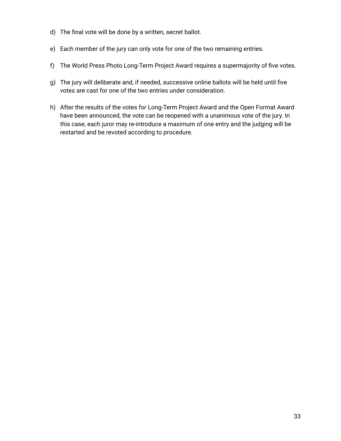- d) The final vote will be done by a written, secret ballot.
- e) Each member of the jury can only vote for one of the two remaining entries.
- f) The World Press Photo Long-Term Project Award requires a supermajority of five votes.
- g) The jury will deliberate and, if needed, successive online ballots will be held until five votes are cast for one of the two entries under consideration.
- h) After the results of the votes for Long-Term Project Award and the Open Format Award have been announced, the vote can be reopened with a unanimous vote of the jury. In this case, each juror may re-introduce a maximum of one entry and the judging will be restarted and be revoted according to procedure.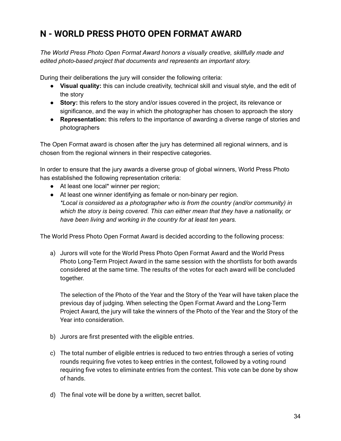### **N - WORLD PRESS PHOTO OPEN FORMAT AWARD**

*The World Press Photo Open Format Award honors a visually creative, skillfully made and edited photo-based project that documents and represents an important story.*

During their deliberations the jury will consider the following criteria:

- **Visual quality:** this can include creativity, technical skill and visual style, and the edit of the story
- **Story:** this refers to the story and/or issues covered in the project, its relevance or significance, and the way in which the photographer has chosen to approach the story
- **Representation:** this refers to the importance of awarding a diverse range of stories and photographers

The Open Format award is chosen after the jury has determined all regional winners, and is chosen from the regional winners in their respective categories.

In order to ensure that the jury awards a diverse group of global winners, World Press Photo has established the following representation criteria:

- At least one local\* winner per region;
- At least one winner identifying as female or non-binary per region. *\*Local is considered as a photographer who is from the country (and/or community) in which the story is being covered. This can either mean that they have a nationality, or have been living and working in the country for at least ten years.*

The World Press Photo Open Format Award is decided according to the following process:

a) Jurors will vote for the World Press Photo Open Format Award and the World Press Photo Long-Term Project Award in the same session with the shortlists for both awards considered at the same time. The results of the votes for each award will be concluded together.

The selection of the Photo of the Year and the Story of the Year will have taken place the previous day of judging. When selecting the Open Format Award and the Long-Term Project Award, the jury will take the winners of the Photo of the Year and the Story of the Year into consideration.

- b) Jurors are first presented with the eligible entries.
- c) The total number of eligible entries is reduced to two entries through a series of voting rounds requiring five votes to keep entries in the contest, followed by a voting round requiring five votes to eliminate entries from the contest. This vote can be done by show of hands.
- d) The final vote will be done by a written, secret ballot.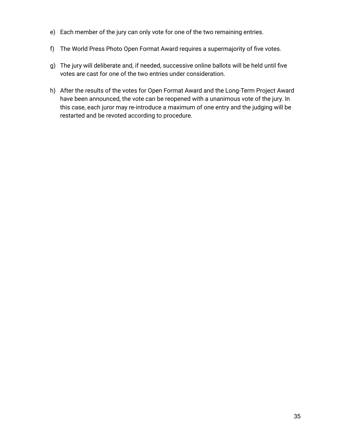- e) Each member of the jury can only vote for one of the two remaining entries.
- f) The World Press Photo Open Format Award requires a supermajority of five votes.
- g) The jury will deliberate and, if needed, successive online ballots will be held until five votes are cast for one of the two entries under consideration.
- h) After the results of the votes for Open Format Award and the Long-Term Project Award have been announced, the vote can be reopened with a unanimous vote of the jury. In this case, each juror may re-introduce a maximum of one entry and the judging will be restarted and be revoted according to procedure.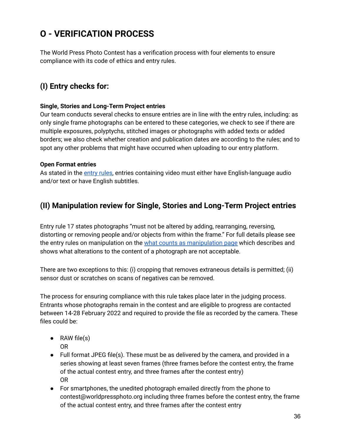# **O - VERIFICATION PROCESS**

The World Press Photo Contest has a verification process with four elements to ensure compliance with its code of ethics and entry rules.

### **(I) Entry checks for:**

#### **Single, Stories and Long-Term Project entries**

Our team conducts several checks to ensure entries are in line with the entry rules, including: as only single frame photographs can be entered to these categories, we check to see if there are multiple exposures, polyptychs, stitched images or photographs with added texts or added borders; we also check whether creation and publication dates are according to the rules; and to spot any other problems that might have occurred when uploading to our entry platform.

#### **Open Format entries**

As stated in the [entry](https://www.worldpressphoto.org/contest/2022/entry-rules) rules, entries containing video must either have English-language audio and/or text or have English subtitles.

### **(II) Manipulation review for Single, Stories and Long-Term Project entries**

Entry rule 17 states photographs "must not be altered by adding, rearranging, reversing, distorting or removing people and/or objects from within the frame." For full details please see the entry rules on [manipulation](https://www.worldpressphoto.org/contest/2022/verification-process/what-counts-as-manipulation) on the what counts as manipulation page which describes and shows what alterations to the content of a photograph are not acceptable.

There are two exceptions to this: (i) cropping that removes extraneous details is permitted; (ii) sensor dust or scratches on scans of negatives can be removed.

The process for ensuring compliance with this rule takes place later in the judging process. Entrants whose photographs remain in the contest and are eligible to progress are contacted between 14-28 February 2022 and required to provide the file as recorded by the camera. These files could be:

- $\bullet$  RAW file(s) OR
- Full format JPEG file(s). These must be as delivered by the camera, and provided in a series showing at least seven frames (three frames before the contest entry, the frame of the actual contest entry, and three frames after the contest entry) OR
- For smartphones, the unedited photograph emailed directly from the phone to contest@worldpressphoto.org including three frames before the contest entry, the frame of the actual contest entry, and three frames after the contest entry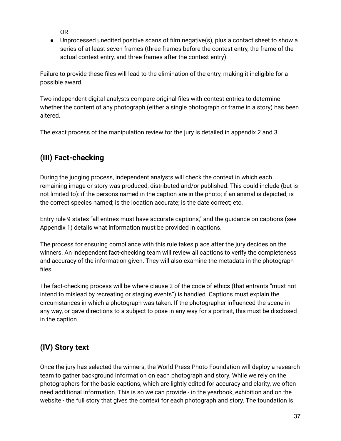OR

● Unprocessed unedited positive scans of film negative(s), plus a contact sheet to show a series of at least seven frames (three frames before the contest entry, the frame of the actual contest entry, and three frames after the contest entry).

Failure to provide these files will lead to the elimination of the entry, making it ineligible for a possible award.

Two independent digital analysts compare original files with contest entries to determine whether the content of any photograph (either a single photograph or frame in a story) has been altered.

The exact process of the manipulation review for the jury is detailed in appendix 2 and 3.

### **(III) Fact-checking**

During the judging process, independent analysts will check the context in which each remaining image or story was produced, distributed and/or published. This could include (but is not limited to): if the persons named in the caption are in the photo; if an animal is depicted, is the correct species named; is the location accurate; is the date correct; etc.

Entry rule 9 states "all entries must have accurate captions," and the guidance on captions (see Appendix 1) details what information must be provided in captions.

The process for ensuring compliance with this rule takes place after the jury decides on the winners. An independent fact-checking team will review all captions to verify the completeness and accuracy of the information given. They will also examine the metadata in the photograph files.

The fact-checking process will be where clause 2 of the code of ethics (that entrants "must not intend to mislead by recreating or staging events") is handled. Captions must explain the circumstances in which a photograph was taken. If the photographer influenced the scene in any way, or gave directions to a subject to pose in any way for a portrait, this must be disclosed in the caption.

### **(IV) Story text**

Once the jury has selected the winners, the World Press Photo Foundation will deploy a research team to gather background information on each photograph and story. While we rely on the photographers for the basic captions, which are lightly edited for accuracy and clarity, we often need additional information. This is so we can provide - in the yearbook, exhibition and on the website - the full story that gives the context for each photograph and story. The foundation is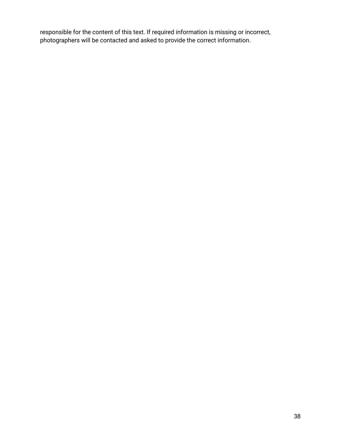responsible for the content of this text. If required information is missing or incorrect, photographers will be contacted and asked to provide the correct information.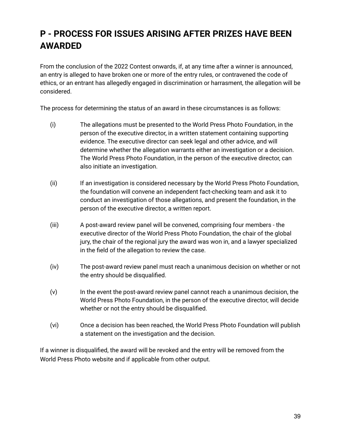# **P - PROCESS FOR ISSUES ARISING AFTER PRIZES HAVE BEEN AWARDED**

From the conclusion of the 2022 Contest onwards, if, at any time after a winner is announced, an entry is alleged to have broken one or more of the entry rules, or contravened the code of ethics, or an entrant has allegedly engaged in discrimination or harrasment, the allegation will be considered.

The process for determining the status of an award in these circumstances is as follows:

- (i) The allegations must be presented to the World Press Photo Foundation, in the person of the executive director, in a written statement containing supporting evidence. The executive director can seek legal and other advice, and will determine whether the allegation warrants either an investigation or a decision. The World Press Photo Foundation, in the person of the executive director, can also initiate an investigation.
- (ii) If an investigation is considered necessary by the World Press Photo Foundation, the foundation will convene an independent fact-checking team and ask it to conduct an investigation of those allegations, and present the foundation, in the person of the executive director, a written report.
- (iii) A post-award review panel will be convened, comprising four members the executive director of the World Press Photo Foundation, the chair of the global jury, the chair of the regional jury the award was won in, and a lawyer specialized in the field of the allegation to review the case.
- (iv) The post-award review panel must reach a unanimous decision on whether or not the entry should be disqualified.
- (v) In the event the post-award review panel cannot reach a unanimous decision, the World Press Photo Foundation, in the person of the executive director, will decide whether or not the entry should be disqualified.
- (vi) Once a decision has been reached, the World Press Photo Foundation will publish a statement on the investigation and the decision.

If a winner is disqualified, the award will be revoked and the entry will be removed from the World Press Photo website and if applicable from other output.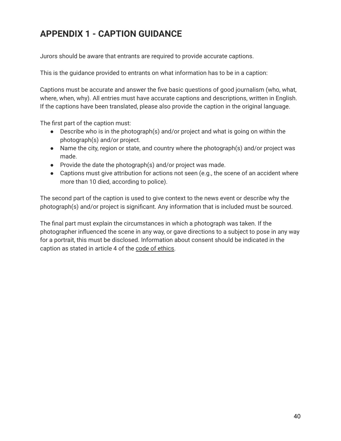### **APPENDIX 1 - CAPTION GUIDANCE**

Jurors should be aware that entrants are required to provide accurate captions.

This is the guidance provided to entrants on what information has to be in a caption:

Captions must be accurate and answer the five basic questions of good journalism (who, what, where, when, why). All entries must have accurate captions and descriptions, written in English. If the captions have been translated, please also provide the caption in the original language.

The first part of the caption must:

- Describe who is in the photograph(s) and/or project and what is going on within the photograph(s) and/or project.
- Name the city, region or state, and country where the photograph(s) and/or project was made.
- Provide the date the photograph(s) and/or project was made.
- Captions must give attribution for actions not seen (e.g., the scene of an accident where more than 10 died, according to police).

The second part of the caption is used to give context to the news event or describe why the photograph(s) and/or project is significant. Any information that is included must be sourced.

The final part must explain the circumstances in which a photograph was taken. If the photographer influenced the scene in any way, or gave directions to a subject to pose in any way for a portrait, this must be disclosed. Information about consent should be indicated in the caption as stated in article 4 of the code of [ethics.](https://www.worldpressphoto.org/contest/2022/code-of-ethics)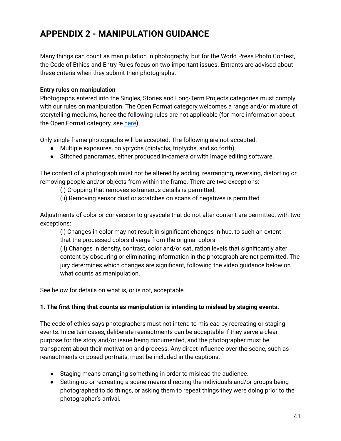### **APPENDIX 2 - MANIPULATION GUIDANCE**

Many things can count as manipulation in photography, but for the World Press Photo Contest, the Code of Ethics and Entry Rules focus on two important issues. Entrants are advised about these criteria when they submit their photographs.

#### **Entry rules on manipulation**

Photographs entered into the Singles, Stories and Long-Term Projects categories must comply with our rules on manipulation. The Open Format category welcomes a range and/or mixture of storytelling mediums, hence the following rules are not applicable (for more information about the Open Format category, see [here\)](https://www.worldpressphoto.org/contest/2022/categories).

Only single frame photographs will be accepted. The following are not accepted:

- Multiple exposures, polyptychs (diptychs, triptychs, and so forth).
- Stitched panoramas, either produced in-camera or with image editing software.

The content of a photograph must not be altered by adding, rearranging, reversing, distorting or removing people and/or objects from within the frame. There are two exceptions:

(i) Cropping that removes extraneous details is permitted;

(ii) Removing sensor dust or scratches on scans of negatives is permitted.

Adjustments of color or conversion to grayscale that do not alter content are permitted, with two exceptions:

(i) Changes in color may not result in significant changes in hue, to such an extent that the processed colors diverge from the original colors.

(ii) Changes in density, contrast, color and/or saturation levels that significantly alter content by obscuring or eliminating information in the photograph are not permitted. The jury determines which changes are significant, following the video guidance below on what counts as manipulation.

See below for details on what is, or is not, acceptable.

#### **1. The first thing that counts as manipulation is intending to mislead by staging events.**

The code of ethics says photographers must not intend to mislead by recreating or staging events. In certain cases, deliberate reenactments can be acceptable if they serve a clear purpose for the story and/or issue being documented, and the photographer must be transparent about their motivation and process. Any direct influence over the scene, such as reenactments or posed portraits, must be included in the captions.

- Staging means arranging something in order to mislead the audience.
- Setting-up or recreating a scene means directing the individuals and/or groups being photographed to do things, or asking them to repeat things they were doing prior to the photographer's arrival.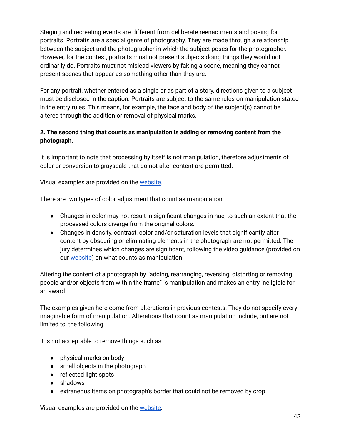Staging and recreating events are different from deliberate reenactments and posing for portraits. Portraits are a special genre of photography. They are made through a relationship between the subject and the photographer in which the subject poses for the photographer. However, for the contest, portraits must not present subjects doing things they would not ordinarily do. Portraits must not mislead viewers by faking a scene, meaning they cannot present scenes that appear as something other than they are.

For any portrait, whether entered as a single or as part of a story, directions given to a subject must be disclosed in the caption. Portraits are subject to the same rules on manipulation stated in the entry rules. This means, for example, the face and body of the subject(s) cannot be altered through the addition or removal of physical marks.

#### **2. The second thing that counts as manipulation is adding or removing content from the photograph.**

It is important to note that processing by itself is not manipulation, therefore adjustments of color or conversion to grayscale that do not alter content are permitted.

Visual examples are provided on the [website.](https://www.worldpressphoto.org/contest/2022/verification-process/what-counts-as-manipulation)

There are two types of color adjustment that count as manipulation:

- Changes in color may not result in significant changes in hue, to such an extent that the processed colors diverge from the original colors.
- Changes in density, contrast, color and/or saturation levels that significantly alter content by obscuring or eliminating elements in the photograph are not permitted. The jury determines which changes are significant, following the video guidance (provided on our [website\)](https://www.worldpressphoto.org/contest/2022/verification-process/what-counts-as-manipulation) on what counts as manipulation.

Altering the content of a photograph by "adding, rearranging, reversing, distorting or removing people and/or objects from within the frame" is manipulation and makes an entry ineligible for an award.

The examples given here come from alterations in previous contests. They do not specify every imaginable form of manipulation. Alterations that count as manipulation include, but are not limited to, the following.

It is not acceptable to remove things such as:

- physical marks on body
- small objects in the photograph
- reflected light spots
- shadows
- extraneous items on photograph's border that could not be removed by crop

Visual examples are provided on the [website.](https://www.worldpressphoto.org/contest/2022/verification-process/what-counts-as-manipulation)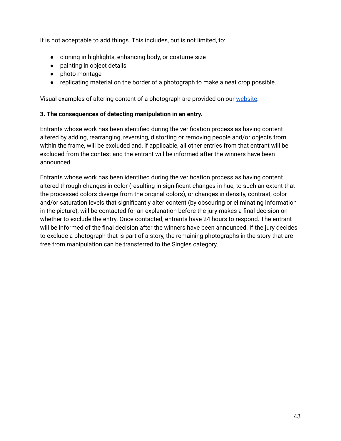It is not acceptable to add things. This includes, but is not limited, to:

- cloning in highlights, enhancing body, or costume size
- painting in object details
- photo montage
- replicating material on the border of a photograph to make a neat crop possible.

Visual examples of altering content of a photograph are provided on our [website.](https://www.worldpressphoto.org/contest/2022/verification-process/what-counts-as-manipulation)

#### **3. The consequences of detecting manipulation in an entry.**

Entrants whose work has been identified during the verification process as having content altered by adding, rearranging, reversing, distorting or removing people and/or objects from within the frame, will be excluded and, if applicable, all other entries from that entrant will be excluded from the contest and the entrant will be informed after the winners have been announced.

Entrants whose work has been identified during the verification process as having content altered through changes in color (resulting in significant changes in hue, to such an extent that the processed colors diverge from the original colors), or changes in density, contrast, color and/or saturation levels that significantly alter content (by obscuring or eliminating information in the picture), will be contacted for an explanation before the jury makes a final decision on whether to exclude the entry. Once contacted, entrants have 24 hours to respond. The entrant will be informed of the final decision after the winners have been announced. If the jury decides to exclude a photograph that is part of a story, the remaining photographs in the story that are free from manipulation can be transferred to the Singles category.